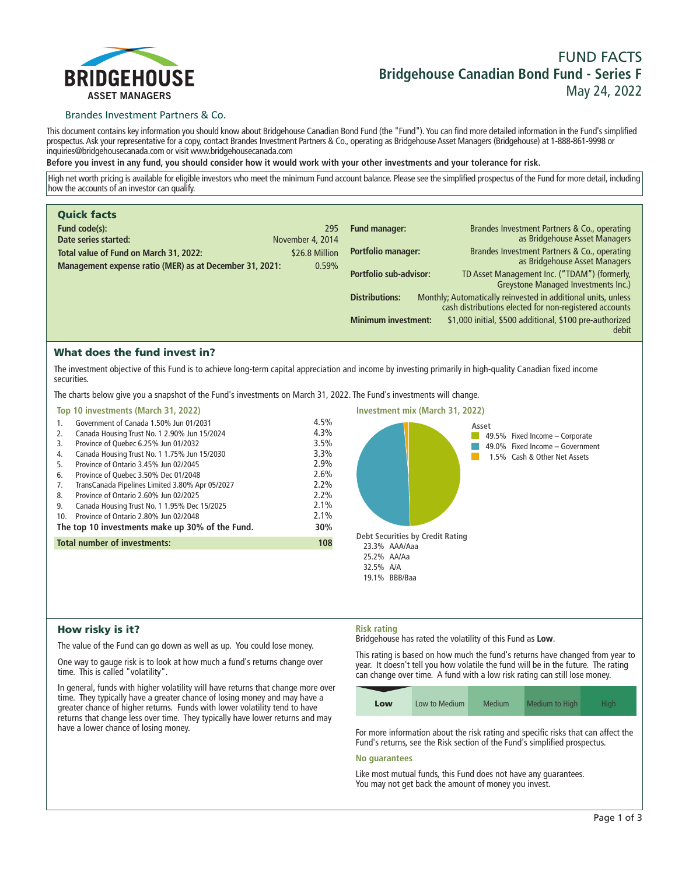

# **FUND FACTS Bridgehouse Canadian Bond Fund - Series F May 24, 2022**

### Brandes Investment Partners & Co.

**This document contains key information you should know about Bridgehouse Canadian Bond Fund (the "Fund"). You can find more detailed information in the Fund's simplified prospectus. Ask your representative for a copy, contact Brandes Investment Partners & Co., operating as Bridgehouse Asset Managers (Bridgehouse) at 1-888-861-9998 or inquiries@bridgehousecanada.com or visit www.bridgehousecanada.com**

**Before you invest in any fund, you should consider how it would work with your other investments and your tolerance for risk.**

**High net worth pricing is available for eligible investors who meet the minimum Fund account balance. Please see the simplified prospectus of the Fund for more detail, including how the accounts of an investor can qualify.**

| <b>Quick facts</b>                                      |                  |                            |                                                                                                                         |
|---------------------------------------------------------|------------------|----------------------------|-------------------------------------------------------------------------------------------------------------------------|
| Fund code(s):                                           | 295              | <b>Fund manager:</b>       | Brandes Investment Partners & Co., operating                                                                            |
| Date series started:                                    | November 4, 2014 |                            | as Bridgehouse Asset Managers                                                                                           |
| Total value of Fund on March 31, 2022:                  | \$26.8 Million   | <b>Portfolio manager:</b>  | Brandes Investment Partners & Co., operating<br>as Bridgehouse Asset Managers                                           |
| Management expense ratio (MER) as at December 31, 2021: | 0.59%            | Portfolio sub-advisor:     | TD Asset Management Inc. ("TDAM") (formerly,<br>Greystone Managed Investments Inc.)                                     |
|                                                         |                  | <b>Distributions:</b>      | Monthly; Automatically reinvested in additional units, unless<br>cash distributions elected for non-registered accounts |
|                                                         |                  | <b>Minimum investment:</b> | \$1,000 initial, \$500 additional, \$100 pre-authorized<br>debit                                                        |

### What does the fund invest in?

**The investment objective of this Fund is to achieve long-term capital appreciation and income by investing primarily in high-quality Canadian fixed income securities.**

**The charts below give you a snapshot of the Fund's investments on March 31, 2022. The Fund's investments will change.**

#### **Top 10 investments (March 31, 2022)**

| 1.  | Government of Canada 1.50% Jun 01/2031          | 4.5%    |
|-----|-------------------------------------------------|---------|
| 2.  | Canada Housing Trust No. 1 2.90% Jun 15/2024    | 4.3%    |
| 3.  | Province of Quebec 6.25% Jun 01/2032            | 3.5%    |
| 4.  | Canada Housing Trust No. 1 1.75% Jun 15/2030    | 3.3%    |
| 5.  | Province of Ontario 3.45% Jun 02/2045           | 2.9%    |
| 6.  | Province of Quebec 3.50% Dec 01/2048            | 2.6%    |
| 7.  | TransCanada Pipelines Limited 3.80% Apr 05/2027 | $2.2\%$ |
| 8.  | Province of Ontario 2.60% Jun 02/2025           | 2.2%    |
| 9.  | Canada Housing Trust No. 1 1.95% Dec 15/2025    | 2.1%    |
| 10. | Province of Ontario 2.80% Jun 02/2048           | 2.1%    |
|     | The top 10 investments make up 30% of the Fund. | 30%     |
|     | <b>Total number of investments:</b>             | 108     |
|     |                                                 |         |



# How risky is it?

**The value of the Fund can go down as well as up. You could lose money.**

**One way to gauge risk is to look at how much a fund's returns change over time. This is called "volatility".**

**In general, funds with higher volatility will have returns that change more over time. They typically have a greater chance of losing money and may have a greater chance of higher returns. Funds with lower volatility tend to have returns that change less over time. They typically have lower returns and may have a lower chance of losing money.**

### **Risk rating**

**Bridgehouse has rated the volatility of this Fund as Low.**

**This rating is based on how much the fund's returns have changed from year to year. It doesn't tell you how volatile the fund will be in the future. The rating can change over time. A fund with a low risk rating can still lose money.**

| Low | Low to Medium | Medium | Medium to High | High. |
|-----|---------------|--------|----------------|-------|

**For more information about the risk rating and specific risks that can affect the Fund's returns, see the Risk section of the Fund's simplified prospectus.**

#### **No guarantees**

**Like most mutual funds, this Fund does not have any guarantees. You may not get back the amount of money you invest.**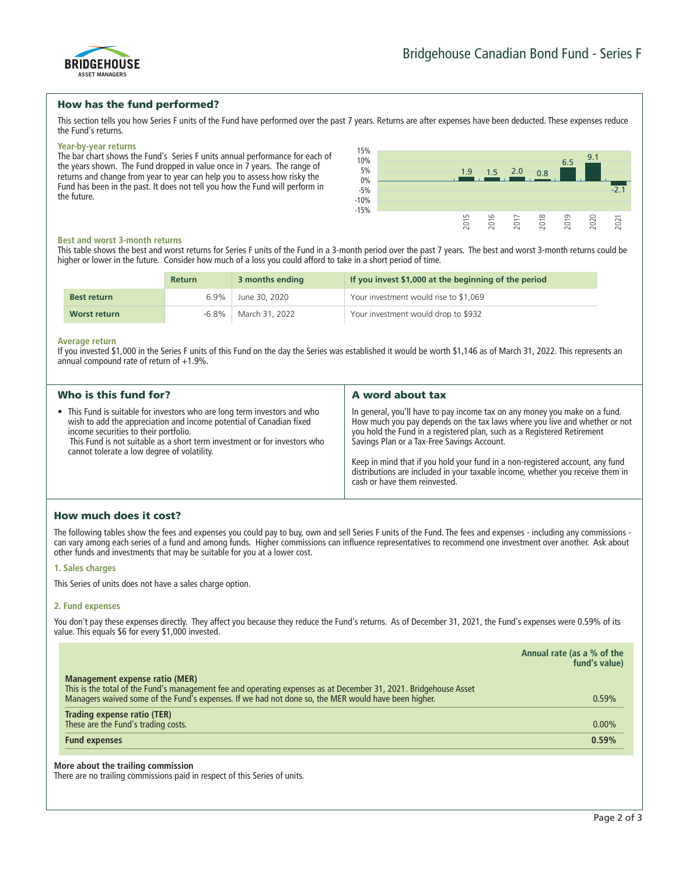

### How has the fund performed?

**This section tells you how Series F units of the Fund have performed over the past 7 years. Returns are after expenses have been deducted. These expenses reduce the Fund's returns.**

#### **Year-by-year returns**

**The bar chart shows the Fund's Series F units annual performance for each of the years shown. The Fund dropped in value once in 7 years. The range of returns and change from year to year can help you to assess how risky the Fund has been in the past. It does not tell you how the Fund will perform in the future.**



#### **Best and worst 3-month returns**

**This table shows the best and worst returns for Series F units of the Fund in a 3-month period over the past 7 years. The best and worst 3-month returns could be higher or lower in the future. Consider how much of a loss you could afford to take in a short period of time.**

|                    | <b>Return</b> | 3 months ending        | If you invest \$1,000 at the beginning of the period |
|--------------------|---------------|------------------------|------------------------------------------------------|
| <b>Best return</b> |               | 6.9% June 30, 2020     | Your investment would rise to \$1,069                |
| Worst return       |               | -6.8%   March 31, 2022 | Your investment would drop to \$932                  |

#### **Average return**

**If you invested \$1,000 in the Series F units of this Fund on the day the Series was established it would be worth \$1,146 as of March 31, 2022. This represents an annual compound rate of return of +1.9%.**

| Who is this fund for?                                                                                                                                                                                                                                                                                                 | A word about tax                                                                                                                                                                                                                                                                                                                                                                                                                                                                       |
|-----------------------------------------------------------------------------------------------------------------------------------------------------------------------------------------------------------------------------------------------------------------------------------------------------------------------|----------------------------------------------------------------------------------------------------------------------------------------------------------------------------------------------------------------------------------------------------------------------------------------------------------------------------------------------------------------------------------------------------------------------------------------------------------------------------------------|
| • This Fund is suitable for investors who are long term investors and who<br>wish to add the appreciation and income potential of Canadian fixed<br>income securities to their portfolio.<br>This Fund is not suitable as a short term investment or for investors who<br>cannot tolerate a low degree of volatility. | In general, you'll have to pay income tax on any money you make on a fund.<br>How much you pay depends on the tax laws where you live and whether or not<br>you hold the Fund in a registered plan, such as a Registered Retirement<br>Savings Plan or a Tax-Free Savings Account.<br>Keep in mind that if you hold your fund in a non-registered account, any fund<br>distributions are included in your taxable income, whether you receive them in<br>cash or have them reinvested. |

# How much does it cost?

**The following tables show the fees and expenses you could pay to buy, own and sell Series F units of the Fund. The fees and expenses - including any commissions can vary among each series of a fund and among funds. Higher commissions can influence representatives to recommend one investment over another. Ask about other funds and investments that may be suitable for you at a lower cost.**

#### **1. Sales charges**

**This Series of units does not have a sales charge option.**

#### **2. Fund expenses**

**You don't pay these expenses directly. They affect you because they reduce the Fund's returns. As of December 31, 2021, the Fund's expenses were 0.59% of its value. This equals \$6 for every \$1,000 invested.**

|                                                                                                                                                                                                                         | Annual rate (as a % of the<br>fund's value) |
|-------------------------------------------------------------------------------------------------------------------------------------------------------------------------------------------------------------------------|---------------------------------------------|
| Management expense ratio (MER)                                                                                                                                                                                          |                                             |
| This is the total of the Fund's management fee and operating expenses as at December 31, 2021. Bridgehouse Asset<br>Managers waived some of the Fund's expenses. If we had not done so, the MER would have been higher. | 0.59%                                       |
| Trading expense ratio (TER)                                                                                                                                                                                             |                                             |
| These are the Fund's trading costs.                                                                                                                                                                                     | $0.00\%$                                    |
| <b>Fund expenses</b>                                                                                                                                                                                                    | 0.59%                                       |

#### **More about the trailing commission**

**There are no trailing commissions paid in respect of this Series of units.**